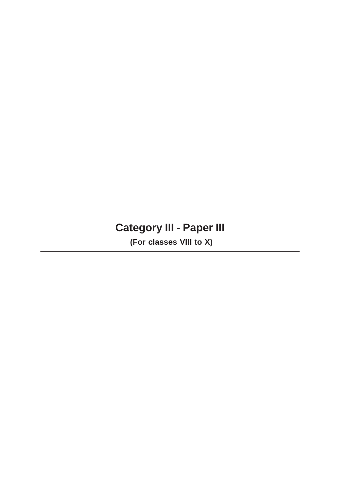# **Category III - Paper III**

 **(For classes VIII to X)**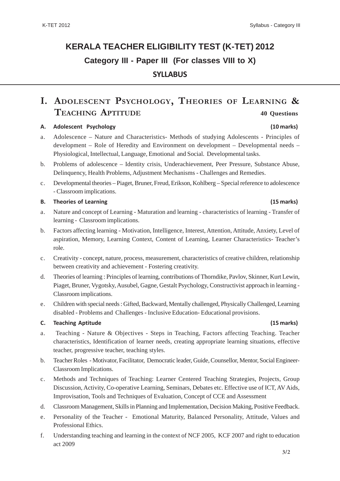# **KERALA TEACHER ELIGIBILITY TEST (K-TET) 2012 Category III - Paper III (For classes VIII to X) SYLLABUS**

# **I. ADOLESCENT PSYCHOLOGY, THEORIES OF LEARNING & TEACHING APTITUDE 40 Questions**

#### **A. Adolescent Psychology (10 marks)**

- a. Adolescence Nature and Characteristics- Methods of studying Adolescents Principles of development – Role of Heredity and Environment on development – Developmental needs – Physiological, Intellectual, Language, Emotional and Social. Developmental tasks.
- b. Problems of adolescence Identity crisis, Underachievement, Peer Pressure, Substance Abuse, Delinquency, Health Problems, Adjustment Mechanisms - Challenges and Remedies.
- c. Developmental theories Piaget, Bruner, Freud, Erikson, Kohlberg Special reference to adolescence - Classroom implications.

#### **B. Theories of Learning (15 marks)**

- a. Nature and concept of Learning Maturation and learning characteristics of learning Transfer of learning - Classroom implications.
- b. Factors affecting learning Motivation, Intelligence, Interest, Attention, Attitude, Anxiety, Level of aspiration, Memory, Learning Context, Content of Learning, Learner Characteristics- Teacher's role.
- c. Creativity concept, nature, process, measurement, characteristics of creative children, relationship between creativity and achievement - Fostering creativity.
- d. Theories of learning : Principles of learning, contributions of Thorndike, Pavlov, Skinner, Kurt Lewin, Piaget, Bruner, Vygotsky, Ausubel, Gagne, Gestalt Psychology, Constructivist approach in learning - Classroom implications.
- e. Children with special needs : Gifted, Backward, Mentally challenged, Physically Challenged, Learning disabled - Problems and Challenges - Inclusive Education- Educational provisions.

#### **C. Teaching Aptitude (15 marks)**

- a. Teaching Nature & Objectives Steps in Teaching, Factors affecting Teaching. Teacher characteristics, Identification of learner needs, creating appropriate learning situations, effective teacher, progressive teacher, teaching styles.
- b. Teacher Roles Motivator, Facilitator, Democratic leader, Guide, Counsellor, Mentor, Social Engineer-Classroom Implications.
- c. Methods and Techniques of Teaching: Learner Centered Teaching Strategies, Projects, Group Discussion, Activity, Co-operative Learning, Seminars, Debates etc. Effective use of ICT, AV Aids, Improvisation, Tools and Techniques of Evaluation, Concept of CCE and Assessment
- d. Classroom Management, Skills in Planning and Implementation, Decision Making, Positive Feedback.
- e. Personality of the Teacher Emotional Maturity, Balanced Personality, Attitude, Values and Professional Ethics.
- f. Understanding teaching and learning in the context of NCF 2005, KCF 2007 and right to education act 2009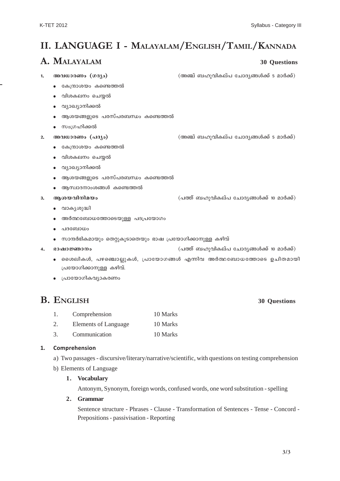# **II. LANGUAGE I - MALAYALAM/ENGLISH/TAMIL/KANNADA**

## **A. MALAYALAM 30 Questions**

<mark>1. അവധാരണം (ഗദ്യം)</mark> (അഞ്ച് ബഹുവികല്പ ചോദ്യങ്ങൾക്ക് 5 മാർക്ക്)

- $\bullet$   $\;$  കേന്ദ്രാശയം കണ്ടെത്തൽ
- വിശകലനം ചെയ്യൽ
- $\bullet$  വ്യാഖ്യാനിക്കൽ
- $\bullet$  ആശയങ്ങളുടെ പരസ്പരബന്ധം കണ്ടെത്തൽ
- $\bullet$  സംഗ്രഹിക്കൽ
- 

**2. അവധാരണം (പദ്യം) (അഞ്ച് ബഹുവികല്പ ചോദ്യങ്ങൾക്ക് 5 മാർക്ക്)** 

- $\bullet$   $\;$  കേന്ദ്രാശയം കണ്ടെത്തൽ
- $\bullet$  വിശകലനം ചെയ്യൽ
- $\bullet$  വ്യാഖ്യാനിക്കൽ
- $\bullet$  ആശയങ്ങളുടെ പരസ്പരബന്ധം കണ്ടെത്തൽ
- $\bullet$  ആസ്വാദനാംശങ്ങൾ കണ്ടെത്തൽ
- <mark>3. ആശയവിനിമയം</mark> (പത്ത് ബഹുവികല്പ ചോദ്യങ്ങൾക്ക് 10 മാർക്ക്)
	- $\bullet$  വാകൃശുദ്ധി
	- $\bullet$  അർത്ഥബോധത്തോടെയുള്ള പദപ്രയോഗം
	- $\bullet$  പദബോധം
	- $\bullet$  സാന്ദർഭികമായും തെറ്റുകൂടാതെയും ഭാഷ പ്രയോഗിക്കാനുള്ള കഴിവ്
- 
- **4. `mjm -⁄m\w** (]Øv \_lp-hn-I-ev]- tNm-Zy-߃°v 10 am¿°v)
	- $\bullet$  ൈമൈൾ, പഴഞ്ചൊല്ലുകൾ, പ്രായോഗങ്ങൾ എന്നിവ അർത്ഥബോധത്തോടെ ഉചിതമായി (പയോഗിക്കാനുള്ള കഴിവ്.
	- $\bullet$  പ്രായോഗികവ്യാകരണം

## **B. ENGLISH 30 Questions**

- 1. Comprehension 10 Marks
- 2. Elements of Language 10 Marks
- 3. Communication 10 Marks

### **1. Comprehension**

a) Two passages - discursive/literary/narrative/scientific, with questions on testing comprehension

b) Elements of Language

### **1. Vocabulary**

Antonym, Synonym, foreign words, confused words, one word substitution - spelling

### **2. Grammar**

Sentence structure - Phrases - Clause - Transformation of Sentences - Tense - Concord - Prepositions - passivisation - Reporting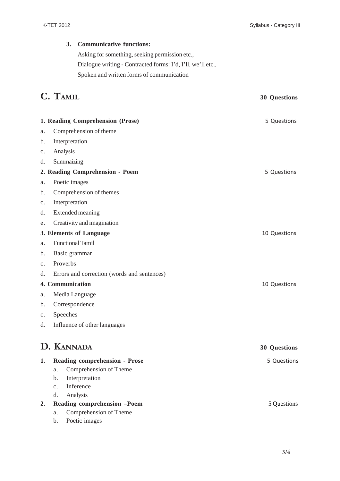### **3. Communicative functions:**

Asking for something, seeking permission etc., Dialogue writing - Contracted forms: I'd, I'll, we'll etc., Spoken and written forms of communication

# **C. TAMIL 30 Questions**

|                | 1. Reading Comprehension (Prose)<br>5 Questions     |                     |  |  |  |
|----------------|-----------------------------------------------------|---------------------|--|--|--|
| a.             | Comprehension of theme                              |                     |  |  |  |
| b.             | Interpretation                                      |                     |  |  |  |
| $\mathbf{c}$ . | Analysis                                            |                     |  |  |  |
| d.             | Summaizing                                          |                     |  |  |  |
|                | 2. Reading Comprehension - Poem                     | 5 Questions         |  |  |  |
| a.             | Poetic images                                       |                     |  |  |  |
| b.             | Comprehension of themes                             |                     |  |  |  |
| $\mathbf{c}$ . | Interpretation                                      |                     |  |  |  |
| d.             | <b>Extended meaning</b>                             |                     |  |  |  |
| e.             | Creativity and imagination                          |                     |  |  |  |
|                | 3. Elements of Language                             | 10 Questions        |  |  |  |
| a.             | <b>Functional Tamil</b>                             |                     |  |  |  |
| b.             | Basic grammar                                       |                     |  |  |  |
| $\mathbf{c}$ . | Proverbs                                            |                     |  |  |  |
| d.             | Errors and correction (words and sentences)         |                     |  |  |  |
|                | <b>4. Communication</b>                             | 10 Questions        |  |  |  |
| a.             | Media Language                                      |                     |  |  |  |
| b.             | Correspondence                                      |                     |  |  |  |
| $\mathbf{c}$ . | Speeches                                            |                     |  |  |  |
| d.             | Influence of other languages                        |                     |  |  |  |
|                | D. KANNADA                                          | <b>30 Questions</b> |  |  |  |
| 1.             | <b>Reading comprehension - Prose</b>                | 5 Questions         |  |  |  |
|                | a. Comprehension of Theme                           |                     |  |  |  |
|                | Interpretation<br>b.                                |                     |  |  |  |
|                | Inference<br>$\mathbf{c}$ .                         |                     |  |  |  |
|                | Analysis<br>d.                                      |                     |  |  |  |
| 2.             | Reading comprehension -Poem                         | 5 Questions         |  |  |  |
|                | Comprehension of Theme<br>a.<br>Poetic images<br>b. |                     |  |  |  |
|                |                                                     |                     |  |  |  |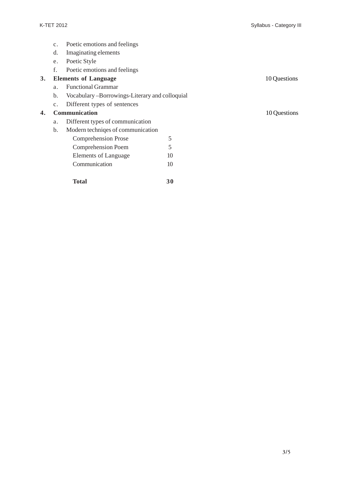- c. Poetic emotions and feelings
- d. Imaginating elements
- e. Poetic Style
- f. Poetic emotions and feelings

### **3. Elements of Language** 10 Questions

- a. Functional Grammar
- b. Vocabulary –Borrowings-Literary and colloquial
- c. Different types of sentences

### **4. Communication** 10 Questions

- a. Different types of communication
- b. Modern techniqes of communication

| <b>Comprehension Prose</b> |    |
|----------------------------|----|
| <b>Comprehension Poem</b>  | 5  |
| Elements of Language       | 10 |
| Communication              | 10 |
|                            |    |

**Total 30**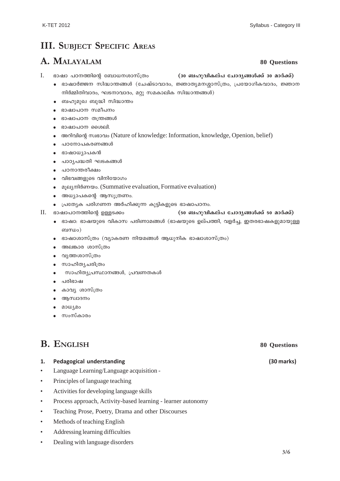# **III. SUBJECT SPECIFIC AREAS**

## **A. MALAYALAM 80 Questions**

- I. ഭാഷാ പഠനത്തിന്റെ ബോധനശാസ്ത്രം **(30 ബഹുവികല്പ ചോദൃങ്ങൾക്ക് 30 മാർക്ക്)** 
	- $\bullet$  ഭാഷാർജ്ജന സിദ്ധാന്തങ്ങൾ (ചേഷ്ടാവാദം, ജ്ഞാതൃമനശ്ശാസ്ത്രം, പ്രയോഗികവാദം, ജ്ഞാന  $m$ ിർമ്മിതിവാദം, ഘടനാവാദം, മറ്റു സമകാലിക സിദ്ധാന്തങ്ങൾ)
	- $\bullet$  ബഹുമുഖ ബുദ്ധി സിദ്ധാന്തം
	- $\bullet$  ഭാഷാപഠന സമീപനം
	- $\bullet$  ഭാഷാപഠന തന്ത്രങ്ങൾ
	- $\bullet$  ഭാഷാപഠന ശൈലി.
	- $\bullet$  combination, knowledge: Information, knowledge, Openion, belief)
	- $\bullet$  പഠനോപകരണങ്ങൾ
	- $\bullet$   $\sigma$ ദാഷാധ്യാപകൻ
	- പാഠ്യപദ്ധതി ഘടകങ്ങൾ
	- പഠനാന്തരീക്ഷം
	- $\bullet$  വിഭവങ്ങളുടെ വിനിയോഗം
	- $\bullet$  a<sub>l</sub>ey-milomos. (Summative evaluation, Formative evaluation)
	- $\bullet$  അധ്യാപകന്റെ ആസൂത്രണം.
	- $\bullet$  (പത്യേക പരിഗണന അർഹിക്കുന്ന കുട്ടികളുടെ ഭാഷാപഠനം.
- 

#### $\rm II.$  ഭാഷാപഠനത്തിന്റെ ഉള്ളടക്കം (50 ബഹുവികല്പ ചോദൃങ്ങൾക്ക് 50 മാർക്ക്)

- $\bullet$  ഭാഷാ: ഭാഷയുടെ വികാസ പരിണാമങ്ങൾ (ഭാഷയുടെ ഉല്പത്തി, വളർച്ച, ഇതരഭാഷകളുമായുള്ള ബന്ധം $)$
- $\bullet$  ഭാഷാശാസ്ത്രം (വ്യാകരണ നിയമങ്ങൾ ആധുനിക ഭാഷാശാസ്ത്രം)
- $\bullet$  അലങ്കാര ശാസ്ത്രം
- വൃത്തശാസ്ത്രം
- $\bullet$  സാഹിതൃചരിത്രം
- സാഹിത്യപ്രസ്ഥാനങ്ങൾ, പ്രവണതകൾ
- $\bullet$  പരിഭാഷ
- കാവ്യ ശാസ്ത്രം
- $\bullet$  ആസ്വാദനം
- ് മാധ്യമം
- സംസ്കാരം

# **B. ENGLISH 80 Questions**

#### **1. Pedagogical understanding (30 marks)**

- Language Learning/Language acquisition -
- Principles of language teaching
- Activities for developing language skills
- Process approach, Activity-based learning learner autonomy
- Teaching Prose, Poetry, Drama and other Discourses
- Methods of teaching English
- Addressing learning difficulties
- Dealing with language disorders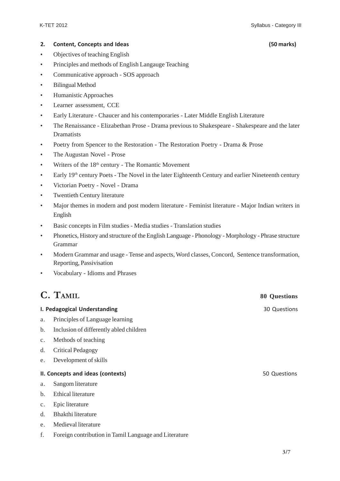#### **2. Content, Concepts and Ideas (50 marks)**

- Objectives of teaching English
- Principles and methods of English Langauge Teaching
- Communicative approach SOS approach
- Bilingual Method
- Humanistic Approaches
- Learner assessment, CCE
- Early Literature Chaucer and his contemporaries Later Middle English Literature
- The Renaissance Elizabethan Prose Drama previous to Shakespeare Shakespeare and the later Dramatists
- Poetry from Spencer to the Restoration The Restoration Poetry Drama & Prose
- The Augustan Novel Prose
- Writers of the  $18<sup>th</sup>$  century The Romantic Movement
- Early 19<sup>th</sup> century Poets The Novel in the later Eighteenth Century and earlier Nineteenth century
- Victorian Poetry Novel Drama
- Twentieth Century literature
- Major themes in modern and post modern literature Feminist literature Major Indian writers in English
- Basic concepts in Film studies Media studies Translation studies
- Phonetics, History and structure of the English Language Phonology Morphology Phrase structure Grammar
- Modern Grammar and usage Tense and aspects, Word classes, Concord, Sentence transformation, Reporting, Passivisation
- Vocabulary Idioms and Phrases

# **C. TAMIL 80 Questions**

#### **I. Pedagogical Understanding** 30 Questions

- a. Principles of Language learning
- b. Inclusion of differently abled children
- c. Methods of teaching
- d. Critical Pedagogy
- e. Development of skills

#### **II. Concepts and ideas (contexts)** 60 Questions 60 Questions 60 Questions 60 Questions 60 Questions 60 Questions 60 Questions 60 Questions 60 Questions 60 Questions 60 Questions 60 Questions 60 Questions 60 Questions 60 Q

- a. Sangom literature
- b. Ethical literature
- c. Epic literature
- d. Bhakthi literature
- e. Medieval literature
- f. Foreign contribution in Tamil Language and Literature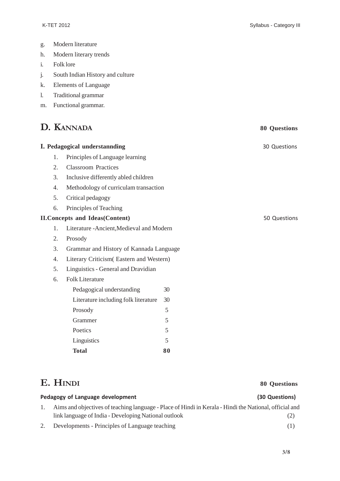- g. Modern literature
- h. Modern literary trends
- i. Folk lore
- j. South Indian History and culture
- k. Elements of Language
- l. Traditional grammar
- m. Functional grammar.

# **D. KANNADA 80 Questions**

| I. Pedagogical understannding<br>30 Questions |                                           |              |  |  |  |
|-----------------------------------------------|-------------------------------------------|--------------|--|--|--|
| 1.                                            | Principles of Language learning           |              |  |  |  |
| 2.                                            | <b>Classroom Practices</b>                |              |  |  |  |
| 3.                                            | Inclusive differently abled children      |              |  |  |  |
| 4.                                            | Methodology of curriculam transaction     |              |  |  |  |
| 5.                                            | Critical pedagogy                         |              |  |  |  |
| 6.                                            | Principles of Teaching                    |              |  |  |  |
| <b>II. Concepts and Ideas (Content)</b>       |                                           | 50 Questions |  |  |  |
| 1.                                            | Literature - Ancient, Medieval and Modern |              |  |  |  |
| 2.                                            | Prosody                                   |              |  |  |  |
| 3.                                            | Grammar and History of Kannada Language   |              |  |  |  |
| 4.                                            | Literary Criticism (Eastern and Western)  |              |  |  |  |
| 5.                                            | Linguistics - General and Dravidian       |              |  |  |  |
| 6.                                            | <b>Folk Literature</b>                    |              |  |  |  |
|                                               | Pedagogical understanding                 | 30           |  |  |  |
|                                               | Literature including folk literature      | 30           |  |  |  |
|                                               | Prosody                                   | 5            |  |  |  |
|                                               | Grammer                                   | 5            |  |  |  |
|                                               | Poetics                                   | 5            |  |  |  |
|                                               | Linguistics                               | 5            |  |  |  |
|                                               | <b>Total</b>                              | 80           |  |  |  |

## **E. HINDI 80 Questions**

# Pedagogy of Language development (30 Questions)

## 1. Aims and objectives of teaching language - Place of Hindi in Kerala - Hindi the National, official and link language of India - Developing National outlook (2)

2. Developments - Principles of Language teaching (1)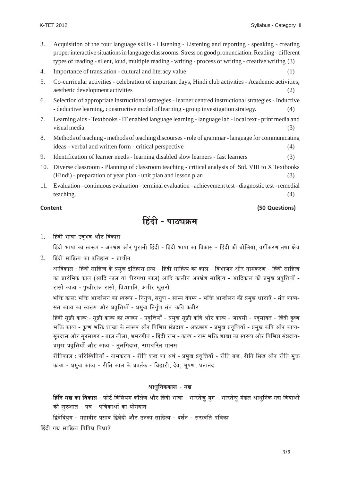- 3. Acquisition of the four language skills Listening Listening and reporting speaking creating proper interactive situations in language classrooms. Stress on good pronunciation. Reading - different types of reading - silent, loud, multiple reading - writing - process of writing - creative writing (3)
- 4. Importance of translation cultural and literacy value (1) (1)
- 5. Co-curricular activities celebration of important days, Hindi club activities Academic activities, aesthetic development activities (2)
- 6. Selection of appropriate instructional strategies learner centred instructional strategies Inductive - deductive learning, constructive model of learning - group investigation strategy. (4)
- 7. Learning aids Textbooks IT enabled language learning language lab local text print media and visual media (3)
- 8. Methods of teaching methods of teaching discourses role of grammar language for communicating ideas - verbal and written form - critical perspective (4)
- 9. Identification of learner needs learning disabled slow learners fast learners (3)
- 10. Diverse classroom Planning of classroom teaching critical analysis of Std. VIII to X Textbooks (Hindi) - preparation of year plan - unit plan and lesson plan (3)
- 11. Evaluation continuous evaluation terminal evaluation achievement test diagnostic test remedial teaching. (4)

### **Content (50 Questions)**

# हिंदी - पाठ्यक्रम

1. हिंदी भाषा उदभव और विकास

हिंदी भाषा का स्वरूप - अपभ्रंश और पुरानी हिंदी - हिंदी भाषा का विकास - हिंदी की बोलियाँ, वर्गीकरण तथा क्षेत्र

 $2.$  हिंदी साहित्य का इतिहास - प्राचीन

आदिकाल : हिंदी साहित्य के प्रमुख इतिहास ग्रन्थ - हिंदी साहित्य का काल - विभाजन और नामकरण - हिंदी साहित्य का प्रारंभिक काल (आदि काल या वीरगथा काल) आदि कालीन अपभ्रंश साहित्य - आदिकाल की प्रमुख प्रवृत्तियाँ -रासो काव्य - पृथ्वीराज रासो, विद्यापति, अमीर खुसरो

भक्ति कालः भक्ति आन्दोलन का स्वरूप - निर्गुण, सगुण - साम्य वैषम्य - भक्ति आन्दोलन की प्रमुख धाराएँ - संत काव्य-संत काव्य का स्वरूप और प्रवृत्तियाँ - प्रमुख निर्गुण संत कवि कबीर

हिंदी सूफ़ी काव्यः- सूफ़ी काव्य का स्वरूप - प्रवृत्तियाँ - प्रमुख सूफ़ी कवि और काव्य - जायसी - पदमावत - हिंदी कृष्ण भक्ति काव्य - कृष्ण भक्ति शाखा के स्वरूप और विभिन्न संप्रदाय - अष्टछाप - प्रमुख प्रवृत्तियाँ - प्रमुख कवि और काव्य-सुरदास और सुरसागर - बाल लीला. भ्रमरगीत - हिंदी राम - काव्य - राम भक्ति शाखा का स्वरूप और विभिन्न संप्रदाय-प्रमुख प्रवृत्तियाँ और काव्य - तुलसिदास, रामचरित मानस

रीतिकाल ः परिस्थितियाँ - नामकरण - रीति शब्द का अर्थ - प्रमुख प्रवृत्तियाँ - रीति बख, रीति सिख और रीति मुक्त काव्य - प्रमुख काव्य - रीति काल के प्रवर्तक - बिहारी, देव, भूषण, घनानंद

#### आधनिककाल - गद्य

**हिंदि गद्य का विकास** - फोर्ट विलियम काँलेज और हिंदी भाषा - भारतेन्दु युग - भारतेन्पु मंडल आधुनिक गद्य विघाओं की शुरुआत - पत्र - पत्रिकाओं का योगदान

- द्विवेदियुग महावीर प्रसाद द्विवेदी और उनका साहित्य दर्शन सरस्वति पत्रिका
- हिंदी गद्य साहित्य विविध विधाएँ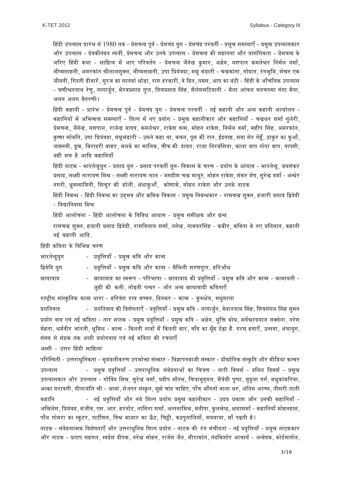हिंदी उपन्यास प्रारंभ से 1980 तक - प्रेमचन्द पूर्व - प्रेमचंद युग - प्रेमचंद परवर्ती - प्रमुख समस्याएँ - प्रमुख उपन्यासकार और उपन्यास - देवकीनंदन स्वत्री, प्रेमचन्द और उनके उपन्यास - प्रेमचन्द की महानता और प्रासंगिकता - प्रेमचन्द के जरिए हिंदी कथा - साहित्य में आए परिवर्तन - प्रेमचन्द जैनेन्द्र कुमार, अज्ञेय, यशपाल कमलेश्वर निर्मल वर्मा, भीष्मसाहनी, अमरकांत श्रीलालशुक्ल, भीष्मसाहनी, उषा प्रियंवदा, मन्नू भंडारी - चन्द्रकांता, गोदान, रंगभूमि, शेखर एक जीवनी, गिरती दीवारे, सूरज का सातवां धोडा, राग दरबारी, वे दिन, तमस, आप का बंटी - हिंदी के आँचलिक उपन्यास - फणीश्वरनाथ रेणू, नागार्जून, भैरवप्रसाद गूप्त, शिवप्रसाद सिंह, शैलेशमटियानी - मैला आंचल वलचनमा गंगा मैया, अलग अलग वैतरणी।

हिंदी कहानी - प्रारंभ - प्रेमचन्द पूर्व - प्रेमचंद यूग - प्रेमचन्द परवर्ती - नई कहानी और अन्य कहानी आन्दोलन -कहानियों में अभिव्यक्त समस्याएँ - शिल्प में नए प्रयोग - प्रमुख कहानीकार और कहानियाँ - चन्द्रधर शर्मा गुलेरी. प्रेमचन्द, जैनेन्द्र, यशपाल, राजेन्द्र यादव, कमलेश्वर, राकेश वत्स, मोहन राकेश, निर्मल वर्मा, महीप सिंह, अमरकांत, कृष्णा सोबति, उषा प्रियंवदा, मन्नूभंडारी - उसने कहा था, कफन, पूस की रात, ईदगाह, सवा सेर गेहूँ, ठाकूर का कुआँ, जाह्नवी, दूख, बिरादरी बाहर, मलबे का मालिक, चीफ की दावत, राजा निरबंसिया, काला बाप गोरा बाप, वापसी, यही सच है आदि कहानियाँ

हिंदी नाटक - भारतेन्द्र्युग - प्रसाद युग - प्रसाद परवर्ती युग- विकास के चरण - प्रयोग के आयाम - भारतेन्द्र, जयशंकर प्रसाद, लक्ष्मी नारायण मिश्र - लक्ष्मी नारायण लाल - जगदीश चन्द्र माथुर, मोहन राकेश, शंकर शेष, सुरेन्द्र वर्मा - अन्धेर नगरी, ध्रुवस्वामिनी, सिन्दूर की होली, अंधाकुआँ, कोणार्क, मोहन राकेश और उनके नाटक

हिंदी निबन्ध - हिंदी निबन्ध का उदभव और क्रमिक विकास - प्रमुख निबन्धकार - रामचन्द्र शुक्ल, हजारी प्रसाद द्विवेदी  $-$  विद्यानिवास मिश्र

हिंदी आलोचना - हिंदी आलोचना के विविध आयाम - प्रमुख समीक्षक और ग्रन्थ.

रामचन्द्र शुक्ल, हजारी प्रसाद द्विवेदी, रामविलाय शर्मा, नगेन्द्र, नामवरसिंह - कबीर, कविता के नए प्रतिमान, कहानी नई कहानी आदि*.* 

हिंदी कविता के विभिन्न चरण

| भारतेन्द्र्युग | -   प्रवृत्तियाँ - प्रमुख कवि और काव्य                                                    |
|----------------|-------------------------------------------------------------------------------------------|
| द्विवेदि युग   | -   प्रवृत्तियाँ - प्रमुख कवि और काव्य - मैथिली शरणगुप्त, हरिऔध                           |
| छायावाद        | - छायावाद का स्वरूप - परिभाषा - छायावाद की प्रवृत्तियाँ - प्रमुख कवि और काव्य - कामायनी - |
|                | जूही की कली, तोड़ती पन्थर - और अन्य छायावादी कविताएँ                                      |

राष्ट्रीय सांस्कृतिक काव्य धारा - हरिवंश राय बच्चन, दिनकर - काव्य - कुरुक्षेत्र, मधुशाला

|…M… i…¥……n˘ - |…M… i…¥……n˘ EÚ" ¥…∂…‰π…i……Bƒ - |…¥…fi k…™……ƒ - |…®…÷J… EÚ ¥… - x……M……V…÷«x…, E‰Ún˘…Æ˙x……l… À∫…Ω˛, ∂…¥…®…ΔM…±… À∫…Ω˛ ∫…÷®…x… प्रयोग वाद एवं नई कविता - तार सप्तक - प्रमुख प्रवृत्तियाँ - प्रमुख कवि - अज्ञेय, मुक्ति बोध, सर्वेश्वरदयाल सक्सेना, नरेश <u>.</u><br>मेहता, धर्मवीर भारती, धृमिल - काव्य - कितनी नावों में कितनी बार, चाँद का मुँह टेढा है. गरम हवाएँ, उत्सवा, अंघायुग संसद से संङक तक आदी प्रयोगवाद एवं नई कविता की रचनाएँ

अस्सी - उत्तर हिंदी साहित्यः

परिस्थिती - उत्तराधृनिकता - भृमंङलीकरण उपभोक्ता संस्कार - विज्ञापनबाजी संस्कार - प्रौद्योगिक संस्कृति और मीडिया कल्चर उपन्यास प्रमुख प्रवृत्तियाँ - उत्तराधुनिक संवेदनाओं का चित्रण - नारी विमर्श - दलित विमर्श - प्रमुख उपन्यासकार और उपन्यास - गोविंद मिश्र. सुरेन्द्र वर्मा. प्रदीप सौरभ. चित्रामुदगल. मैत्रेयी पुष्पा. मुदुला गर्ग. मधुकांकरिया. अल्का सरावगी, गीताजंलि श्री - आवां, सेजपर संस्कृत, मुझे चांद चाहिए, पाँच आँगनों वाला धर, अंतिम अरण्य, तीसरी ताली EÚΩ˛… x… - x…<« |…¥…fi k…™……ƒ +…ËÆ˙ x…™…‰ ∂…±{… |…™……‰M… |…®…÷J… EÚΩ˛…x…"EÚ…Æ˙ - =n˘™… |…EÚ…∂… +…ËÆ˙ =x…EÚ" EÚΩ˛… x…™……ƒ - अखिलेश, प्रियंवद, संजीव, एस. आर. हरनोट, नासिरा शर्मा, अल्पनामिश्र, मनीषा, कुलश्रेष्ठ, क्षमाशर्मा - कहानियाँ मोहनदास, पाँल गोमरा का स्कुटर, पार्टीशन, विश्व बाज़ार का ऊँट, चिट्ठी, कठपुतालियाँ, शवयात्रा, माँ पढती है**।** 

नाटक - संवेदनात्मक विशेषताएँ और उत्तराधुनिक शिल्प प्रयोग - नाटक की रंग मंचीयता - नई प्रवृत्तियाँ - प्रमुख नाटककार और नाटक - प्रताप सहगल, स्वदेश दीपक, नरेन्द्र मोहन, राजेश जैन, मीराकांत, नंदकिशोर आचार्य - अन्वेषक, कोर्टमार्शल,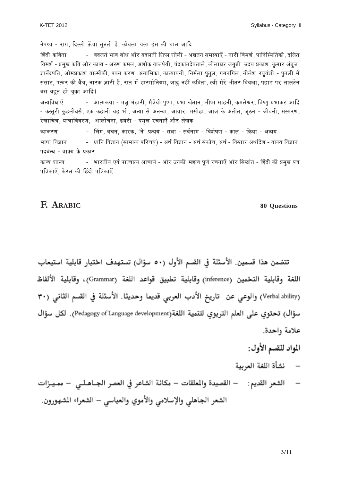Syllabus - Category III

नेपथ्व - राग, दिल्ली ऊँचा सुनती है, कोयला चला हंस की चाल आदि हिंदी कविता बदलते भाव बोध और बदलती शिप्ल शौली - अद्यतन समस्याएँ - नारी विमर्श. पारिस्थितिकी. दलित हिमर्श - प्रमुख कवि और काव्य - अरुण कमल, अशोक वाजपेयी, चंद्रकांतदेवताले, लीलाधर जगृडी, उदय प्रकाश, कुमार अंबुज, जानेंद्रपति. ओमप्रकाश वाल्मीकी, पवन करण, अनामिका, कात्यायनी, निर्मला पतल, गगनगिल, नीलेश रघवंशी - पतली में संसार, पत्थर की बैंच, नाटक ज़ारी है, रात में हारमोनियम, जादू नहीं कविता, स्त्री मेरे भीतर विवक्षा, पहाड पर लालटेन बस बहुत हो चुका आदि । +x™… ¥…v……Bƒ - +…i®…EÚl…… - ®…z…⁄ ¶…Δb˜…Æ˙", ®…Ëj…‰™…" {…÷π{……, |…¶…… J…‰i……x…, ¶…"π®… ∫……Ω˛x…", EÚ®…±…‰∑…Æ˙, ¥…πh…÷ |…¶……EÚÆ˙ +… n˘ - कस्तूरी कुडंलीबसै, एक कहानी यह भी, अन्या से अनन्या, आवारा मसीहा, आज के अतीत, जूठन - जीवनी, संस्मरण, रेखाचित्र, यात्राविवरण, आलोचना, डयरी - प्रमुख रचनाएँ और लेखक ¥™……EÚÆ˙h… - À±…M…, ¥…S…x…, EÚ…Æ˙EÚ, ëí"x…‰' |…i™…™… - ∫…Y…… - ∫…¥…«x……®… - ¥…∂…‰π…h… - EÚ…±… - GÚ™…… - +¥™…™… ¶……π…… ¥…Y……x… - v¥… x… ¥…Y……x… (∫……®……x™… {… Æ˙S…™…) - +l…« ¥…Y……x… - +l…« ∫…ΔEÚ…‰S…, +l…« - ¥…∫i……Æ˙ +l……«n‰˘∂… - ¥……C™… ¥…Y……x…, पदबंन्ध - वाक्य के प्रकार काव्य शास्त्र भारतीय एवं पाश्चात्य आचार्य - और उनकी महत्व पूर्ण रचनाएँ और सिद्धांत - हिंदी की प्रमुख पत्र पत्रिकाएँ. केरल की हिंदी पत्रिकाएँ

### **F. ARABIC 80 Questions**

تتضمن هذا قسمين. الأسئلة في القسم الأول (٥٠ سؤال) تستهدف اختبار قابلية استيعاب اللغة وقابلية التخمين (inference) وقابلية تطبيق قواعد اللغة (Grammar)، وقابلية الألفاظ (Verbal ability) والوعي عن تاريخ الأدب العربي قديما وحديثا. الأسئلة في القسم الثاني (٣٠ سؤال) تحتوي على العلم التربوي لتنمية اللغة(Pedagogy of Language development) . لكل سؤال علامة واحدة.

- المواد للقسم الأول:
- نشأة اللغة العربية

— الشعر القديم: — القصيدة والمعلقات — مكانة الشاعر في العصر الجــاهـلــي — ممـيـزات الشعر الجاهلي والإسلامي والأموي والعباسي – الشعراء الشهورون.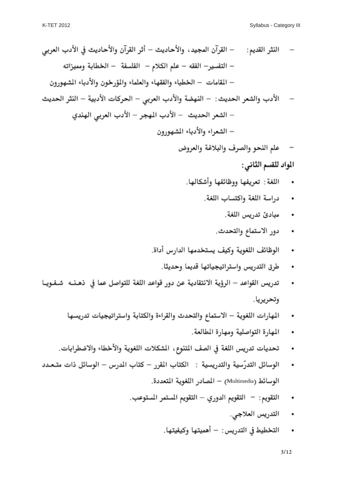## المواد للقسم الثاني:

- اللغة : تعريفها ووظائفها وأشكالها.
	- دراسة اللغة واكتساب اللغة.  $\bullet$ 
		- مبادئ تدريس اللغة.  $\blacksquare$
		- دور الاستماع والتحدث.  $\blacksquare$
- الوظائف اللغوية وكيف يستخدمها الدارس أداة.  $\bullet$ 
	- طرق التدريس واستراتيجياتها قديما وحديثا.  $\bullet$
- تدريس القواعد الرؤية الانتقادية عن دور قواعد اللغة للتواصل عما في ذهـنــه شــفـويــا وتحريريا.
	- المهارات اللغوية الاستماع والتحدث والقراءة والكتابة واستراتيجيات تدريسها  $\bullet$ 
		- المهارة التواصلية ومهارة المطالعة.  $\bullet$
	- تحديات تدريس اللغة في الصف المتنوع، المشكلات اللغوية والأخطاء والاضطرابات.
- الوسائل التدرّسية والتدريسية : الكتاب المقرر كتاب المدرس الوسائل ذات متـعـدد  $\bullet$ الوسائط (Multimedia) – المصادر اللغوية المتعددة.
	- التقويم: التقويم الدوري التقويم المستمر المستوعب.  $\bullet$ 
		- التدريس العلاجي.  $\blacksquare$
		- التخطيط في التدريس : أهميتها وكيفيتها.  $\bullet$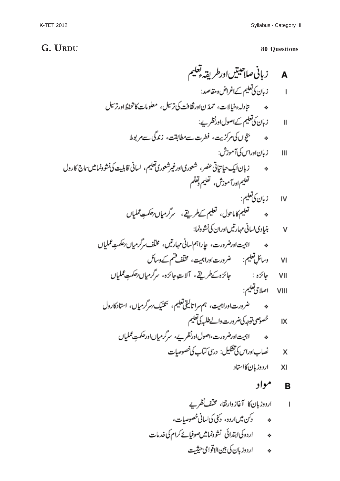# **G. URDU 80 Questions**

| A | \n $\int_{0}^{1} \int_{0}^{1} \int_{0}^{1} \int_{0}^{1} \int_{0}^{1} \int_{0}^{1} \int_{0}^{1} \int_{0}^{1} \int_{0}^{1} \int_{0}^{1} \int_{0}^{1} \int_{0}^{1} \int_{0}^{1} \int_{0}^{1} \int_{0}^{1} \int_{0}^{1} \int_{0}^{1} \int_{0}^{1} \int_{0}^{1} \int_{0}^{1} \int_{0}^{1} \int_{0}^{1} \int_{0}^{1} \int_{0}^{1} \int_{0}^{1} \int_{0}^{1} \int_{0}^{1} \int_{0}^{1} \int_{0}^{1} \int_{0}^{1} \int_{0}^{1} \int_{0}^{1} \int_{0}^{1} \int_{0}^{1} \int_{0}^{1} \int_{0}^{1} \int_{0}^{1} \int_{0}^{1} \int_{0}^{1} \int_{0}^{1} \int_{0}^{1} \int_{0}^{1} \int_{0}^{1} \int_{0}^{1} \int_{0}^{1} \int_{0}^{1} \int_{0}^{1} \int_{0}^{1} \int_{0}^{1} \int_{0}^{1} \int_{0}^{1} \int_{0}^{1} \int_{0}^{1} \int_{0}^{1} \int_{0}^{1} \int_{0}^{1} \int_{0}^{1} \int_{0}^{1} \int_{0}^{1} \int_{0}^{1} \int_{0}^{1} \int_{0}^{1} \int_{0}^{1} \int_{0}^{1} \int_{0}^{1} \int_{0}^{1} \int_{0}^{1} \int_{0}^{1} \int_{0}^{1} \int_{0}^{1} \int_{0}^{1} \int_{0}^{1} \int_{0}^{1} \int_{0}^{1} \int_{0}^{1} \int_{0}^{1} \int_{0}^{1} \int_{0}^{1} \int_{0}^{1} \int_{0}^{1} \int_{0}^{1} \int_{0}^{1} \int_{0}^{1} \int_{0}^{1} \int_{0}^{1} \int_{0}^{1} \int_{0}^{1} \int_{0}^{1} \int_{0}^{1} \int_{0}^{1} \int_{0}^{1} \int_{0}^{1} \int_{0}^{1}$ |
|---|---------------------------------------------------------------------------------------------------------------------------------------------------------------------------------------------------------------------------------------------------------------------------------------------------------------------------------------------------------------------------------------------------------------------------------------------------------------------------------------------------------------------------------------------------------------------------------------------------------------------------------------------------------------------------------------------------------------------------------------------------------------------------------------------------------------------------------------------------------------------------------------------------------------------------------------------------------------------------------------------------------------------------------------------------------------------------------------------------------------------------------------------------------------------------------------------------------------------------------------------------------------|
|---|---------------------------------------------------------------------------------------------------------------------------------------------------------------------------------------------------------------------------------------------------------------------------------------------------------------------------------------------------------------------------------------------------------------------------------------------------------------------------------------------------------------------------------------------------------------------------------------------------------------------------------------------------------------------------------------------------------------------------------------------------------------------------------------------------------------------------------------------------------------------------------------------------------------------------------------------------------------------------------------------------------------------------------------------------------------------------------------------------------------------------------------------------------------------------------------------------------------------------------------------------------------|

- ه<br>« اردوکیاابتدائی نشوونمامین صوفیائے کرام کی خدمات<br>« اردوزبان کی بین الاقوامی حیثیت
	-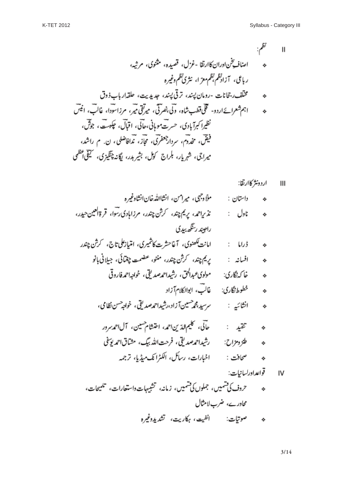$\mathbf{I}$ 

IV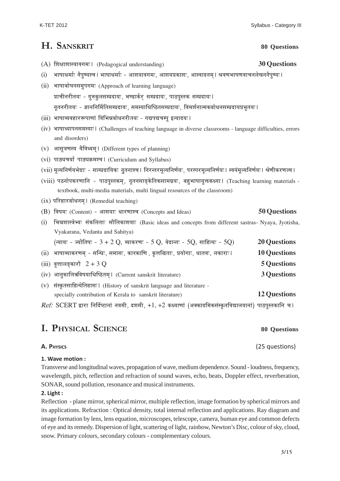# **H. SANSKRIT 80 Questions**

- (A) ∂…I……∂……∫j……¥…M…®…&\* (Pedagogical understanding) **30 Questions**  $(i)$  भाषाधर्माः नैपुण्यश्च । भाषाधर्माः - आशयावगमः, आशयप्रकाशः, आस्वादनम । श्रवणभाषणवाचनलेखननैपुण्यः । (ii) भाषाबोघनसमूपगमः (Approach of learning language)
- प्राचीनरीतयः गुरुकुलसम्प्रदायः, भण्डार्कर् सम्प्रदायः, पाठपुस्तक सम्प्रदायः । नृतनरीतयः - ज्ञाननिर्मितिसम्प्रदायः, समस्याधिष्ठितसम्प्रदायः, विमर्शनात्मकबोधनसम्प्रदायप्रभृतयः ।
- (iii) भाषाव्यवहाररूपाणां विभिन्नबोधनरीतयः गद्यपद्यचम्पु इत्यादयः ।
- (iv) भाषाध्यापनसमस्याः । (Challenges of teaching language in diverse classrooms language difficulties, errors and disorders)
- (v) आसृत्रणस्य वैविध्यम। (Different types of planning)
- (vi) पाठ्यचर्या पाठ्यक्रमश्च। (Curriculum and Syllabus)
- (vii) मूल्यनिर्णयभेदाः साम्प्रदायिकः नुतनाश्च । निरन्तरमूल्यनिर्णयः, परस्परमूल्यनिर्णयः । स्वयंमूल्यनिर्णयः । श्रेणीकरणञ्च ।
- (viii) पठनोपकरणानि पाठपूस्तकम, नूतनसाङकेतिकसामग्रयः, बहूभाषायुक्तकक्ष्या। (Teaching learning materials textbook, multi-media materials, multi lingual resources of the classroom)
- $(ix)$  परिहारबोधनम। (Remedial teaching)
- (B) विषयः (Content) आशयाः धारणाश्च (Concepts and Ideas) 50 Questions
- (i) ¶…z…∂……∫j…‰¶™…& ∫…ΔEÚ ±…i……& ®……Ë ±…EÚ…∂…™……& (Basic ideas and concepts from different sastras- Nyaya, Jyotisha, Vyakarana, Vedanta and Sahitya)

| (न्यायः - ज्योतिषः - $3 + 2$ Q, व्याकरणः - $5$ Q, वेदान्तः - $5Q$ , साहित्यः - $5Q$ ) | <b>20 Questions</b> |
|---------------------------------------------------------------------------------------|---------------------|
| (ii) भाषाव्याकरणम् - सन्धिः, समासः, कारकाणि , कृत्तद्धिताः, प्रयोगाः, धातवः, लकाराः।  | <b>10 Questions</b> |
| (iii) वृत्तालङ्कारौ $2 + 3$ Q                                                         | <b>5 Questions</b>  |
| (iv) आनुकालिकविषयाधिष्ठितम् । (Current sanskrit literature)                           | 3 Questions         |
| (v) संस्कृतसाहित्येतिहासः। (History of sanskrit language and literature -             |                     |
| specially contribution of Kerala to sanskrit literature)                              | <b>12 Questions</b> |

*Ref:* SCERT द्वारा निर्दिष्टानां नवमी, दशमी, +1, +2 कक्ष्याणां (अक्कादमिकसंस्कृतविद्यालयानां) पाठपुस्तकानि च l

# **I. PHYSICAL SCIENCE 80 Questions**

### **1. Wave motion :**

Transverse and longitudinal waves, propagation of wave, medium dependence. Sound - loudness, frequency, wavelength, pitch, reflection and refraction of sound waves, echo, beats, Doppler effect, reverberation, SONAR, sound pollution, resonance and musical instruments.

### **2. Light :**

Reflection - plane mirror, spherical mirror, multiple reflection, image formation by spherical mirrors and its applications. Refraction : Optical density, total internal reflection and applications. Ray diagram and image formation by lens, lens equation, microscopes, telescope, camera, human eye and common defects of eye and its remedy. Dispersion of light, scattering of light, rainbow, Newton's Disc, colour of sky, cloud, snow. Primary colours, secondary colours - complementary colours.

Syllabus - Category III

**A. PHYSICS** (25 questions)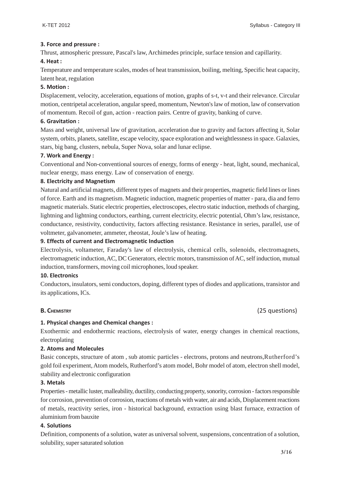#### **3. Force and pressure :**

Thrust, atmospheric pressure, Pascal's law, Archimedes principle, surface tension and capillarity.

#### **4. Heat :**

Temperature and temperature scales, modes of heat transmission, boiling, melting, Specific heat capacity, latent heat, regulation

#### **5. Motion :**

Displacement, velocity, acceleration, equations of motion, graphs of s-t, v-t and their relevance. Circular motion, centripetal acceleration, angular speed, momentum, Newton's law of motion, law of conservation of momentum. Recoil of gun, action - reaction pairs. Centre of gravity, banking of curve.

#### **6. Gravitation :**

Mass and weight, universal law of gravitation, acceleration due to gravity and factors affecting it, Solar system, orbits, planets, satellite, escape velocity, space exploration and weightlessness in space. Galaxies, stars, big bang, clusters, nebula, Super Nova, solar and lunar eclipse.

#### **7. Work and Energy :**

Conventional and Non-conventional sources of energy, forms of energy - heat, light, sound, mechanical, nuclear energy, mass energy. Law of conservation of energy.

#### **8. Electricity and Magnetism**

Natural and artificial magnets, different types of magnets and their properties, magnetic field lines or lines of force. Earth and its magnetism. Magnetic induction, magnetic properties of matter - para, dia and ferro magnetic materials. Static electric properties, electroscopes, electro static induction, methods of charging, lightning and lightning conductors, earthing, current electricity, electric potential, Ohm's law, resistance, conductance, resistivity, conductivity, factors affecting resistance. Resistance in series, parallel, use of voltmeter, galvanometer, ammeter, rheostat, Joule's law of heating.

#### **9. Effects of current and Electromagnetic Induction**

Electrolysis, voltameter, Faraday's law of electrolysis, chemical cells, solenoids, electromagnets, electromagnetic induction, AC, DC Generators, electric motors, transmission of AC, self induction, mutual induction, transformers, moving coil microphones, loud speaker.

#### **10. Electronics**

Conductors, insulators, semi conductors, doping, different types of diodes and applications, transistor and its applications, ICs.

### **B. CHEMISTRY** (25 questions)

### **1. Physical changes and Chemical changes :**

Exothermic and endothermic reactions, electrolysis of water, energy changes in chemical reactions, electroplating

#### **2. Atoms and Molecules**

Basic concepts, structure of atom , sub atomic particles - electrons, protons and neutrons,Rutherford's gold foil experiment, Atom models, Rutherford's atom model, Bohr model of atom, electron shell model, stability and electronic configuration

#### **3. Metals**

Properties - metallic luster, malleability, ductility, conducting property, sonority, corrosion - factors responsible for corrosion, prevention of corrosion, reactions of metals with water, air and acids, Displacement reactions of metals, reactivity series, iron - historical background, extraction using blast furnace, extraction of aluminium from bauxite

#### **4. Solutions**

Definition, components of a solution, water as universal solvent, suspensions, concentration of a solution, solubility, super saturated solution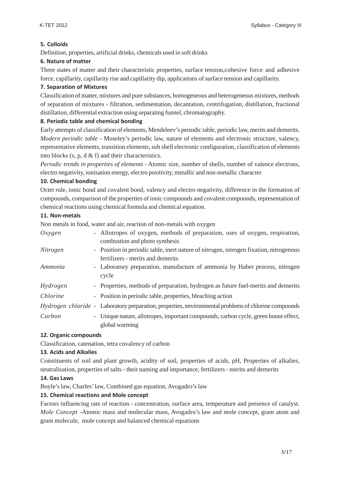### **5. Colloids**

Definition, properties, artificial drinks, chemicals used in soft drinks

#### **6. Nature of matter**

Three states of matter and their characteristic properties, surface tension,cohesive force and adhesive force, capillarity, capillarity rise and capillarity dip, applications of surface tension and capillarity.

#### **7. Separation of Mixtures**

Classification of matter, mixtures and pure substances, homogeneous and heterogeneous mixtures, methods of separation of mixtures - filtration, sedimentation, decantation, centrifugation, distillation, fractional distillation, differential extraction using separating funnel, chromatography.

#### **8. Periodic table and chemical bonding**

Early attempts of classification of elements, Mendeleev's periodic table, periodic law, merits and demerits. *Modern periodic table* - Moseley's periodic law, nature of elements and electronic structure, valency, representative elements, transition elements, sub shell electronic configuration, classification of elements into blocks  $(s, p, d \& f)$  and their characteristics.

*Periodic trends in properties of elements* - Atomic size, number of shells, number of valence electrons, electro negativity, ionisation energy, electro positivity, metallic and non-metallic character

#### **10. Chemical bonding**

Octet rule, ionic bond and covalent bond, valency and electro negativity, difference in the formation of compounds, comparison of the properties of ionic compounds and covalent compounds, representation of chemical reactions using chemical formula and chemical equation.

#### **11. Non-metals**

Non metals in food, water and air, reaction of non-metals with oxygen

| Oxygen   | - Allotropes of oxygen, methods of preparation, uses of oxygen, respiration,<br>combustion and photo synthesis              |
|----------|-----------------------------------------------------------------------------------------------------------------------------|
| Nitrogen | - Position in periodic table, inert nature of nitrogen, nitrogen fixation, nitrogenous<br>fertilizers - merits and demerits |
| Ammonia  | - Laboratory preparation, manufacture of ammonia by Haber process, nitrogen<br>cycle                                        |
| Hydrogen | - Properties, methods of preparation, hydrogen as future fuel-merits and demerits                                           |
| Chlorine | - Position in periodic table, properties, bleaching action                                                                  |
|          | <i>Hydrogen chloride</i> - Laboratory preparation, properties, environmental problems of chlorine compounds                 |
| Carbon   | - Unique nature, allotropes, important compounds, carbon cycle, green house effect,<br>global warming                       |

#### **12. Organic compounds**

Classification, catenation, tetra covalency of carbon

#### **13. Acids and Alkalies**

Constituents of soil and plant growth, acidity of soil, properties of acids, pH, Properties of alkalies, neutralisation, properties of salts - their naming and importance, fertilizers - merits and demerits

### **14. Gas Laws**

Boyle's law, Charles' law, Combined gas equation, Avogadro's law

### **15. Chemical reactions and Mole concept**

Factors influencing rate of reaction - concentration, surface area, temperature and presence of catalyst. *Mole Concept* -Atomic mass and molecular mass, Avogadro's law and mole concept, gram atom and gram molecule, mole concept and balanced chemical equations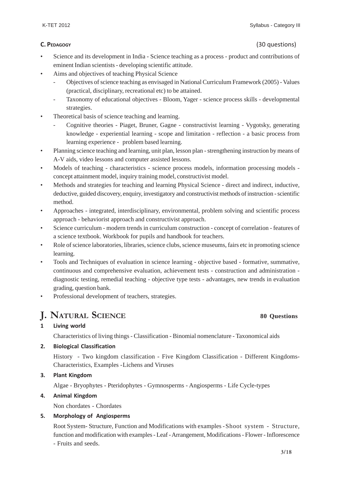- Science and its development in India Science teaching as a process product and contributions of eminent Indian scientists - developing scientific attitude.
- Aims and objectives of teaching Physical Science
	- Objectives of science teaching as envisaged in National Curriculum Framework (2005) Values (practical, disciplinary, recreational etc) to be attained.
	- Taxonomy of educational objectives Bloom, Yager science process skills developmental strategies.
- Theoretical basis of science teaching and learning.
	- Cognitive theories Piaget, Bruner, Gagne constructivist learning Vygotsky, generating knowledge - experiential learning - scope and limitation - reflection - a basic process from learning experience - problem based learning.
- Planning science teaching and learning, unit plan, lesson plan strengthening instruction by means of A-V aids, video lessons and computer assisted lessons.
- Models of teaching characteristics science process models, information processing models concept attainment model, inquiry training model, constructivist model.
- Methods and strategies for teaching and learning Physical Science direct and indirect, inductive, deductive, guided discovery, enquiry, investigatory and constructivist methods of instruction - scientific method.
- Approaches integrated, interdisciplinary, environmental, problem solving and scientific process approach - behaviorist approach and constructivist approach.
- Science curriculum modern trends in curriculum construction concept of correlation features of a science textbook. Workbook for pupils and handbook for teachers.
- Role of science laboratories, libraries, science clubs, science museums, fairs etc in promoting science learning.
- Tools and Techniques of evaluation in science learning objective based formative, summative, continuous and comprehensive evaluation, achievement tests - construction and administration diagnostic testing, remedial teaching - objective type tests - advantages, new trends in evaluation grading, question bank.
- Professional development of teachers, strategies.

## **J. NATURAL SCIENCE 80 Questions**

### **1 Living world**

Characteristics of living things - Classification - Binomial nomenclature - Taxonomical aids

### **2. Biological Classification**

History - Two kingdom classification - Five Kingdom Classification - Different Kingdoms-Characteristics, Examples -Lichens and Viruses

#### **3. Plant Kingdom**

Algae - Bryophytes - Pteridophytes - Gymnosperms - Angiosperms - Life Cycle-types

#### **4. Animal Kingdom**

Non chordates - Chordates

#### **5. Morphology of Angiosperms**

Root System- Structure, Function and Modifications with examples -Shoot system - Structure, function and modification with examples - Leaf - Arrangement, Modifications - Flower - Inflorescence - Fruits and seeds.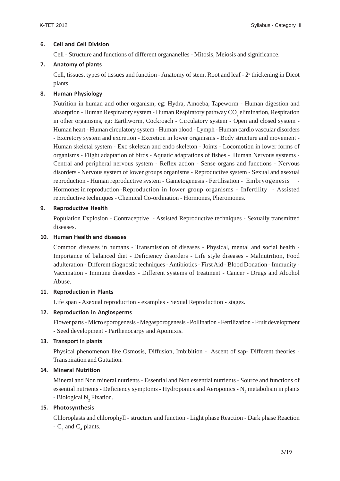#### **6. Cell and Cell Division**

Cell - Structure and functions of different organanelles - Mitosis, Meiosis and significance.

#### **7. Anatomy of plants**

Cell, tissues, types of tissues and function - Anatomy of stem, Root and leaf - 2<sup>°</sup> thickening in Dicot plants.

#### **8. Human Physiology**

Nutrition in human and other organism, eg: Hydra, Amoeba, Tapeworm - Human digestion and absorption - Human Respiratory system - Human Respiratory pathway  $\mathrm{CO}_2$  elimination, Respiration in other organisms, eg: Earthworm, Cockroach - Circulatory system - Open and closed system - Human heart - Human circulatory system - Human blood - Lymph - Human cardio vascular disorders - Excretory system and excretion - Excretion in lower organisms - Body structure and movement - Human skeletal system - Exo skeletan and endo skeleton - Joints - Locomotion in lower forms of organisms - Flight adaptation of birds - Aquatic adaptations of fishes - Human Nervous systems - Central and peripheral nervous system - Reflex action - Sense organs and functions - Nervous disorders - Nervous system of lower groups organisms - Reproductive system - Sexual and asexual reproduction - Human reproductive system - Gametogenesis - Fertilisation - Embryogenesis - Hormones in reproduction -Reproduction in lower group organisms - Infertility - Assisted reproductive techniques - Chemical Co-ordination - Hormones, Pheromones.

#### **9. Reproductive Health**

Population Explosion - Contraceptive - Assisted Reproductive techniques - Sexually transmitted diseases.

#### **10. Human Health and diseases**

Common diseases in humans - Transmission of diseases - Physical, mental and social health - Importance of balanced diet - Deficiency disorders - Life style diseases - Malnutrition, Food adulteration - Different diagnostic techniques - Antibiotics - First Aid - Blood Donation - Immunity - Vaccination - Immune disorders - Different systems of treatment - Cancer - Drugs and Alcohol Abuse.

#### **11. Reproduction in Plants**

Life span - Asexual reproduction - examples - Sexual Reproduction - stages.

#### **12. Reproduction in Angiosperms**

Flower parts - Micro sporogenesis - Megasporogenesis - Pollination - Fertilization - Fruit development - Seed development - Parthenocarpy and Apomixis.

### **13. Transport in plants**

Physical phenomenon like Osmosis, Diffusion, Imbibition - Ascent of sap- Different theories - Transpiration and Guttation.

### **14. Mineral Nutrition**

Mineral and Non mineral nutrients - Essential and Non essential nutrients - Source and functions of essential nutrients - Deficiency symptoms - Hydroponics and Aeroponics -  $N_2$  metabolism in plants - Biological  $N_2$  Fixation.

### **15. Photosynthesis**

Chloroplasts and chlorophyll - structure and function - Light phase Reaction - Dark phase Reaction -  $C_3$  and  $C_4$  plants.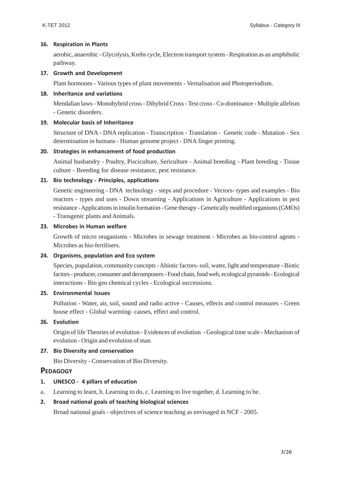#### **16. Respiration in Plants**

aerobic, anaerobic - Glycolysis, Krebs cycle, Electron transport system - Respiration as an amphibolic pathway.

#### **17. Growth and Development**

Plant hormones - Various types of plant movements - Vernalisation and Photoperiodism.

#### **18. Inheritance and variations**

Mendalian laws - Monohybrid cross - Dihybrid Cross - Test cross - Co-dominance - Multiple allelism - Genetic disorders.

#### **19. Molecular basis of Inheritance**

Structure of DNA - DNA replication - Transcription - Translation - Genetic code - Mutation - Sex determination in humans - Human genome project - DNA finger printing.

#### **20. Strategies in enhancement of food production**

Animal husbandry - Poultry, Pisciculture, Sericulture - Animal breeding - Plant breeding - Tissue culture - Breeding for disease resistance, pest resistance.

#### **21. Bio technology - Principles, applications**

Genetic engineering - DNA technology - steps and procedure - Vectors- types and examples - Bio reactors - types and uses - Down streaming - Applications in Agriculture - Applications in pest resistance - Applications in insulin formation - Gene therapy - Genetically modified organisms (GMOs) - Transgenic plants and Animals.

#### **23. Microbes in Human welfare**

Growth of micro oraganisms - Microbes in sewage treatment - Microbes as bio-control agents - Microbes as bio-fertilisers.

#### **24. Organisms, population and Eco system**

Species, population, community concepts - Abiotic factors- soil, water, light and temperature - Biotic factors - producer, consumer and decomposers - Food chain, food web, ecological pyramids - Ecological interactions - Bio geo chemical cycles - Ecological successions.

#### **25. Environmental Issues**

Pollution - Water, air, soil, sound and radio active - Causes, effects and control measures - Green house effect - Global warming- causes, effect and control.

### **26. Evolution**

Origin of life Theories of evolution - Evidences of evolution - Geological time scale - Mechanism of evolution - Origin and evolution of man

#### **27. Bio Diversity and conservation**

Bio Diversity - Conservation of Bio Diversity.

#### **PEDAGOGY**

#### **1. UNESCO - 4 pillars of education**

a. Learning to learn, b. Learning to do, c. Learning to live together, d. Learning to be.

#### **2. Broad national goals of teaching biological sciences**

Broad national goals - objectives of science teaching as envisaged in NCF - 2005.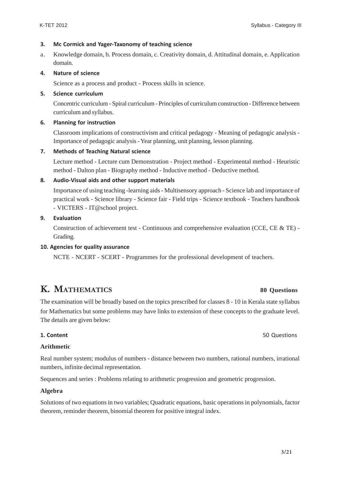#### **3. Mc Cormick and Yager-Taxonomy of teaching science**

a. Knowledge domain, b. Process domain, c. Creativity domain, d. Attitudinal domain, e. Application domain.

#### **4. Nature of science**

Science as a process and product - Process skills in science.

#### **5. Science curriculum**

Concentric curriculum - Spiral curriculum - Principles of curriculum construction - Difference between curriculum and syllabus.

#### **6. Planning for instruction**

Classroom implications of constructivism and critical pedagogy - Meaning of pedagogic analysis - Importance of pedagogic analysis - Year planning, unit planning, lesson planning.

#### **7. Methods of Teaching Natural science**

Lecture method - Lecture cum Demonstration - Project method - Experimental method - Heuristic method - Dalton plan - Biography method - Inductive method - Deductive method.

#### **8. Audio-Visual aids and other support materials**

Importance of using teaching -learning aids - Multisensory approach - Science lab and importance of practical work - Science library - Science fair - Field trips - Science textbook - Teachers handbook - VICTERS - IT@school project.

#### **9. Evaluation**

Construction of achievement test - Continuous and comprehensive evaluation (CCE, CE & TE) - Grading.

#### **10. Agencies for quality assurance**

NCTE - NCERT - SCERT - Programmes for the professional development of teachers.

# **K. MATHEMATICS 80 Questions**

The examination will be broadly based on the topics prescribed for classes 8 - 10 in Kerala state syllabus for Mathematics but some problems may have links to extension of these concepts to the graduate level. The details are given below:

#### **1. Content** 50 Questions **1. Content**

#### **Arithmetic**

Real number system; modulus of numbers - distance between two numbers, rational numbers, irrational numbers, infinite decimal representation.

Sequences and series : Problems relating to arithmetic progression and geometric progression.

#### **Algebra**

Solutions of two equations in two variables; Quadratic equations, basic operations in polynomials, factor theorem, reminder theorem, binomial theorem for positive integral index.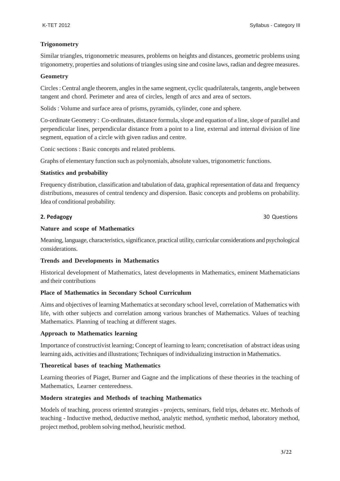### **Trigonometry**

Similar triangles, trigonometric measures, problems on heights and distances, geometric problems using trigonometry, properties and solutions of triangles using sine and cosine laws, radian and degree measures.

#### **Geometry**

Circles : Central angle theorem, angles in the same segment, cyclic quadrilaterals, tangents, angle between tangent and chord. Perimeter and area of circles, length of arcs and area of sectors.

Solids : Volume and surface area of prisms, pyramids, cylinder, cone and sphere.

Co-ordinate Geometry : Co-ordinates, distance formula, slope and equation of a line, slope of parallel and perpendicular lines, perpendicular distance from a point to a line, external and internal division of line segment, equation of a circle with given radius and centre.

Conic sections : Basic concepts and related problems.

Graphs of elementary function such as polynomials, absolute values, trigonometric functions.

#### **Statistics and probability**

Frequency distribution, classification and tabulation of data, graphical representation of data and frequency distributions, measures of central tendency and dispersion. Basic concepts and problems on probability. Idea of conditional probability.

**2. Pedagogy** 30 Questions 30 Questions 30 Questions 30 Questions 30 Questions 30 Questions 30 Questions 30 Questions 30 Questions 30 Questions 30 Questions 30 Questions 30 Questions 30 Questions 30 Questions 30 Questions

#### **Nature and scope of Mathematics**

Meaning, language, characteristics, significance, practical utility, curricular considerations and psychological considerations.

### **Trends and Developments in Mathematics**

Historical development of Mathematics, latest developments in Mathematics, eminent Mathematicians and their contributions

### **Place of Mathematics in Secondary School Curriculum**

Aims and objectives of learning Mathematics at secondary school level, correlation of Mathematics with life, with other subjects and correlation among various branches of Mathematics. Values of teaching Mathematics. Planning of teaching at different stages.

### **Approach to Mathematics learning**

Importance of constructivist learning; Concept of learning to learn; concretisation of abstract ideas using learning aids, activities and illustrations; Techniques of individualizing instruction in Mathematics.

### **Theoretical bases of teaching Mathematics**

Learning theories of Piaget, Burner and Gagne and the implications of these theories in the teaching of Mathematics, Learner centeredness.

### **Modern strategies and Methods of teaching Mathematics**

Models of teaching, process oriented strategies - projects, seminars, field trips, debates etc. Methods of teaching - Inductive method, deductive method, analytic method, synthetic method, laboratory method, project method, problem solving method, heuristic method.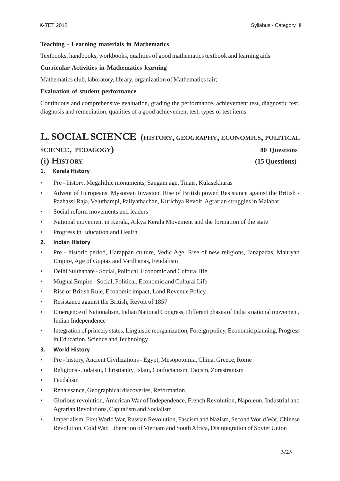#### **Teaching - Learning materials in Mathematics**

Textbooks, handbooks, workbooks, qualities of good mathematics textbook and learning aids.

#### **Curricular Activities in Mathematics learning**

Mathematics club, laboratory, library, organization of Mathematics fair;

#### **Evaluation of student performance**

Continuous and comprehensive evaluation, grading the performance, achievement test, diagnostic test, diagnosis and remediation, qualities of a good achievement test, types of test items.

# **L. SOCIAL SCIENCE (HISTORY, GEOGRAPHY, ECONOMICS, POLITICAL**

### **SCIENCE, PEDAGOGY) 80 Questions**

**(i) HISTORY (15 Questions)**

## **1. Kerala History**

- Pre history, Megalithic monuments, Sangam age, Tinais, Kulasekharas
- Advent of Europeans, Mysorean Invasion, Rise of British power, Resistance against the British Pazhassi Raja, Veluthampi, Paliyathachan, Kurichya Revolt, Agrarian struggles in Malabar
- Social reform movements and leaders
- National movement in Kerala, Aikya Kerala Movement and the formation of the state
- Progress in Education and Health

#### **2. Indian History**

- Pre historic period, Harappan culture, Vedic Age, Rise of new religions, Janapadas, Mauryan Empire, Age of Guptas and Vardhanas, Feudalism
- Delhi Sulthanate Social, Political, Economic and Cultural life
- Mughal Empire Social, Political, Economic and Cultural Life
- Rise of British Rule, Economic impact, Land Revenue Policy
- Resistance against the British, Revolt of 1857
- Emergence of Nationalism, Indian National Congress, Different phases of India's national movement, Indian Independence
- Integration of princely states, Linguistic reorganization, Foreign policy, Economic planning, Progress in Education, Science and Technology

#### **3. World History**

- Pre history, Ancient Civilizations Egypt, Mesopotomia, China, Greece, Rome
- Religions Judaism, Christianity, Islam, Confucianism, Taoism, Zorastranism
- Feudalism
- Renaissance, Geographical discoveries, Reformation
- Glorious revolution, American War of Independence, French Revolution, Napoleon, Industrial and Agrarian Revolutions, Capitalism and Socialism
- Imperialism, First World War, Russian Revolution, Fascism and Nazism, Second World War, Chinese Revolution, Cold War, Liberation of Vietnam and South Africa, Disintegration of Soviet Union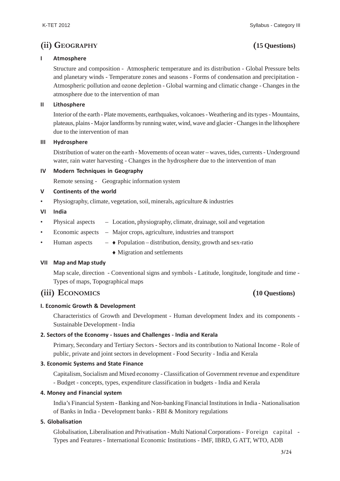## **(ii) GEOGRAPHY (15 Questions)**

### **I Atmosphere**

Structure and composition - Atmospheric temperature and its distribution - Global Pressure belts and planetary winds - Temperature zones and seasons - Forms of condensation and precipitation - Atmospheric pollution and ozone depletion - Global warming and climatic change - Changes in the atmosphere due to the intervention of man

### **II Lithosphere**

Interior of the earth - Plate movements, earthquakes, volcanoes - Weathering and its types - Mountains, plateaus, plains - Major landforms by running water, wind, wave and glacier - Changes in the lithosphere due to the intervention of man

#### **III Hydrosphere**

Distribution of water on the earth - Movements of ocean water – waves, tides, currents - Underground water, rain water harvesting - Changes in the hydrosphere due to the intervention of man

#### **IV Modern Techniques in Geography**

Remote sensing - Geographic information system

#### **V Continents of the world**

• Physiography, climate, vegetation, soil, minerals, agriculture & industries

#### **VI India**

- Physical aspects Location, physiography, climate, drainage, soil and vegetation
- Economic aspects Major crops, agriculture, industries and transport
- Human aspects  $\bullet$  Population distribution, density, growth and sex-ratio
	- ♦ Migration and settlements

#### **VII Map and Map study**

Map scale, direction - Conventional signs and symbols - Latitude, longitude, longitude and time - Types of maps, Topographical maps

## **(iii) ECONOMICS (10 Questions)**

### **I. Economic Growth & Development**

Characteristics of Growth and Development - Human development Index and its components - Sustainable Development - India

### **2. Sectors of the Economy - Issues and Challenges - India and Kerala**

Primary, Secondary and Tertiary Sectors - Sectors and its contribution to National Income - Role of public, private and joint sectors in development - Food Security - India and Kerala

### **3. Economic Systems and State Finance**

Capitalism, Socialism and Mixed economy - Classification of Government revenue and expenditure - Budget - concepts, types, expenditure classification in budgets - India and Kerala

#### **4. Money and Financial system**

India's Financial System - Banking and Non-banking Financial Institutions in India - Nationalisation of Banks in India - Development banks - RBI & Monitory regulations

### **5. Globalisation**

Globalisation, Liberalisation and Privatisation - Multi National Corporations - Foreign capital - Types and Features - International Economic Institutions - IMF, IBRD, G ATT, WTO, ADB